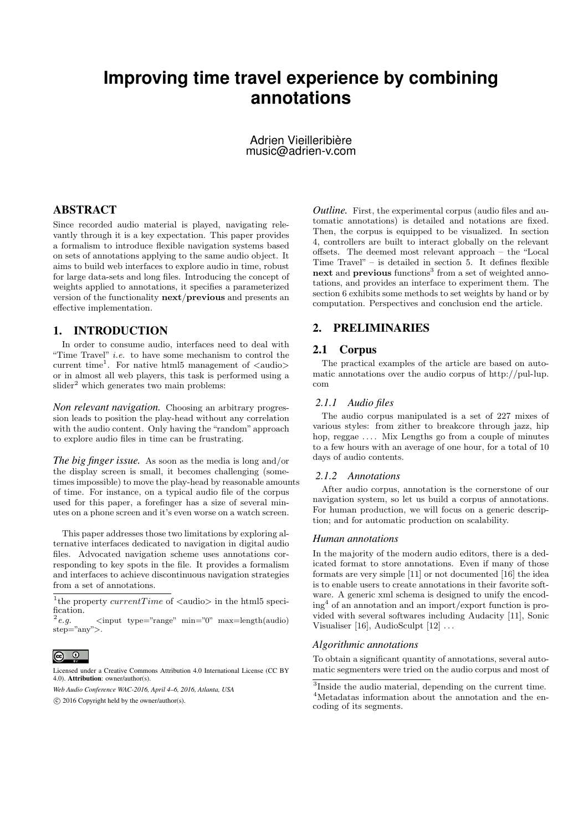# **Improving time travel experience by combining annotations**

Adrien Vieilleribière music@adrien-v.com

## ABSTRACT

Since recorded audio material is played, navigating relevantly through it is a key expectation. This paper provides a formalism to introduce flexible navigation systems based on sets of annotations applying to the same audio object. It aims to build web interfaces to explore audio in time, robust for large data-sets and long files. Introducing the concept of weights applied to annotations, it specifies a parameterized version of the functionality next/previous and presents an effective implementation.

## 1. INTRODUCTION

In order to consume audio, interfaces need to deal with "Time Travel" i.e. to have some mechanism to control the current time<sup>1</sup>. For native html5 management of  $\langle \text{audio} \rangle$ or in almost all web players, this task is performed using a  $\mathrm{s}$ lider<sup>2</sup> which generates two main problems:

*Non relevant navigation.* Choosing an arbitrary progression leads to position the play-head without any correlation with the audio content. Only having the "random" approach to explore audio files in time can be frustrating.

*The big finger issue.* As soon as the media is long and/or the display screen is small, it becomes challenging (sometimes impossible) to move the play-head by reasonable amounts of time. For instance, on a typical audio file of the corpus used for this paper, a forefinger has a size of several minutes on a phone screen and it's even worse on a watch screen.

This paper addresses those two limitations by exploring alternative interfaces dedicated to navigation in digital audio files. Advocated navigation scheme uses annotations corresponding to key spots in the file. It provides a formalism and interfaces to achieve discontinuous navigation strategies from a set of annotations.

# $\circ$   $\circ$

*Outline.* First, the experimental corpus (audio files and automatic annotations) is detailed and notations are fixed. Then, the corpus is equipped to be visualized. In section 4, controllers are built to interact globally on the relevant offsets. The deemed most relevant approach – the "Local Time Travel" – is detailed in section 5. It defines flexible next and previous functions<sup>3</sup> from a set of weighted annotations, and provides an interface to experiment them. The section 6 exhibits some methods to set weights by hand or by computation. Perspectives and conclusion end the article.

## 2. PRELIMINARIES

## 2.1 Corpus

The practical examples of the article are based on automatic annotations over the audio corpus of http://pul-lup. com

#### *2.1.1 Audio files*

The audio corpus manipulated is a set of 227 mixes of various styles: from zither to breakcore through jazz, hip hop, reggae .... Mix Lengths go from a couple of minutes to a few hours with an average of one hour, for a total of 10 days of audio contents.

#### *2.1.2 Annotations*

After audio corpus, annotation is the cornerstone of our navigation system, so let us build a corpus of annotations. For human production, we will focus on a generic description; and for automatic production on scalability.

#### *Human annotations*

In the majority of the modern audio editors, there is a dedicated format to store annotations. Even if many of those formats are very simple [11] or not documented [16] the idea is to enable users to create annotations in their favorite software. A generic xml schema is designed to unify the encoding<sup>4</sup> of an annotation and an import/export function is provided with several softwares including Audacity [11], Sonic Visualiser [16], AudioSculpt  $[12] \ldots$ 

#### *Algorithmic annotations*

To obtain a significant quantity of annotations, several automatic segmenters were tried on the audio corpus and most of

<sup>&</sup>lt;sup>1</sup>the property *currentTime* of  $\langle \text{audio}\rangle$  in the html5 specification.

 $2$  e.g.  $\langle$ input type="range" min="0" max=length(audio) step="any">.

Licensed under a Creative Commons Attribution 4.0 International License (CC BY 4.0). Attribution: owner/author(s).

*Web Audio Conference WAC-2016, April 4–6, 2016, Atlanta, USA*

c 2016 Copyright held by the owner/author(s).

<sup>3</sup> Inside the audio material, depending on the current time. <sup>4</sup>Metadatas information about the annotation and the encoding of its segments.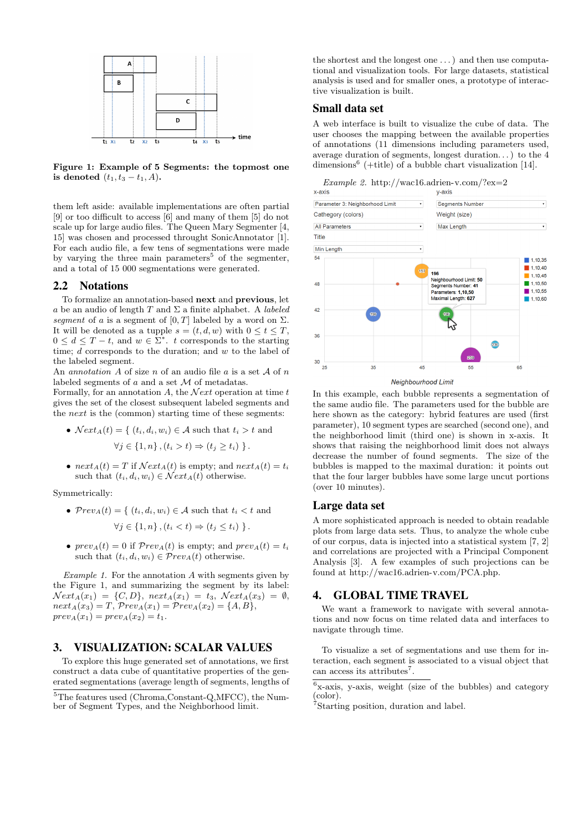

Figure 1: Example of 5 Segments: the topmost one is denoted  $(t_1, t_3 - t_1, A)$ .

them left aside: available implementations are often partial [9] or too difficult to access [6] and many of them [5] do not scale up for large audio files. The Queen Mary Segmenter [4, 15] was chosen and processed throught SonicAnnotator [1]. For each audio file, a few tens of segmentations were made by varying the three main parameters<sup>5</sup> of the segmenter, and a total of 15 000 segmentations were generated.

## 2.2 Notations

To formalize an annotation-based next and previous, let a be an audio of length T and  $\Sigma$  a finite alphabet. A *labeled* segment of a is a segment of  $[0, T]$  labeled by a word on  $\Sigma$ . It will be denoted as a tupple  $s = (t, d, w)$  with  $0 \le t \le T$ ,  $0 \leq d \leq T-t$ , and  $w \in \Sigma^*$ . t corresponds to the starting time; d corresponds to the duration; and w to the label of the labeled segment.

An *annotation* A of size n of an audio file a is a set  $A$  of n labeled segments of  $a$  and a set  $\mathcal M$  of metadatas.

Formally, for an annotation A, the  $Next$  operation at time t gives the set of the closest subsequent labeled segments and the next is the (common) starting time of these segments:

•  $Next_A(t) = \{ (t_i, d_i, w_i) \in \mathcal{A} \text{ such that } t_i > t \text{ and } t_i \}$ 

$$
\forall j \in \{1, n\}, (t_i > t) \Rightarrow (t_j \ge t_i) \}.
$$

•  $next_A(t) = T$  if  $Next_A(t)$  is empty; and  $next_A(t) = t_i$ such that  $(t_i, d_i, w_i) \in \mathcal{N}ext_A(t)$  otherwise.

Symmetrically:

- $Prev_A(t) = \{ (t_i, d_i, w_i) \in A \text{ such that } t_i < t \text{ and } t_i \leq t \}$  $\forall j \in \{1, n\}, (t_i < t) \Rightarrow (t_j \leq t_i) \}$ .
- $prev_A(t) = 0$  if  $prev_A(t)$  is empty; and  $prev_A(t) = t_i$ such that  $(t_i, d_i, w_i) \in \mathcal{P}rev_A(t)$  otherwise.

Example 1. For the annotation  $A$  with segments given by the Figure 1, and summarizing the segment by its label:  $Next_A(x_1) = \{C, D\}, next_A(x_1) = t_3, Next_A(x_3) = \emptyset,$  $next_A(x_3) = T$ ,  $Prev_A(x_1) = Prev_A(x_2) = \{A, B\},\$  $prev_A(x_1) = prev_A(x_2) = t_1.$ 

## 3. VISUALIZATION: SCALAR VALUES

To explore this huge generated set of annotations, we first construct a data cube of quantitative properties of the generated segmentations (average length of segments, lengths of the shortest and the longest one . . . ) and then use computational and visualization tools. For large datasets, statistical analysis is used and for smaller ones, a prototype of interactive visualization is built.

#### Small data set

A web interface is built to visualize the cube of data. The user chooses the mapping between the available properties of annotations (11 dimensions including parameters used, average duration of segments, longest duration. . . ) to the 4 dimensions<sup>6</sup> (+title) of a bubble chart visualization [14].

Example 2. http://wac16.adrien-v.com/?ex=2<br>x-axis



Neighbourhood Limit

In this example, each bubble represents a segmentation of the same audio file. The parameters used for the bubble are here shown as the category: hybrid features are used (first parameter), 10 segment types are searched (second one), and the neighborhood limit (third one) is shown in x-axis. It shows that raising the neighborhood limit does not always decrease the number of found segments. The size of the bubbles is mapped to the maximal duration: it points out that the four larger bubbles have some large uncut portions (over 10 minutes).

## Large data set

A more sophisticated approach is needed to obtain readable plots from large data sets. Thus, to analyze the whole cube of our corpus, data is injected into a statistical system [7, 2] and correlations are projected with a Principal Component Analysis [3]. A few examples of such projections can be found at http://wac16.adrien-v.com/PCA.php.

#### 4. GLOBAL TIME TRAVEL

We want a framework to navigate with several annotations and now focus on time related data and interfaces to navigate through time.

To visualize a set of segmentations and use them for interaction, each segment is associated to a visual object that can access its attributes<sup>7</sup>.

6 x-axis, y-axis, weight (size of the bubbles) and category (color).

<sup>5</sup>The features used (Chroma,Constant-Q,MFCC), the Number of Segment Types, and the Neighborhood limit.

<sup>&</sup>lt;sup>7</sup>Starting position, duration and label.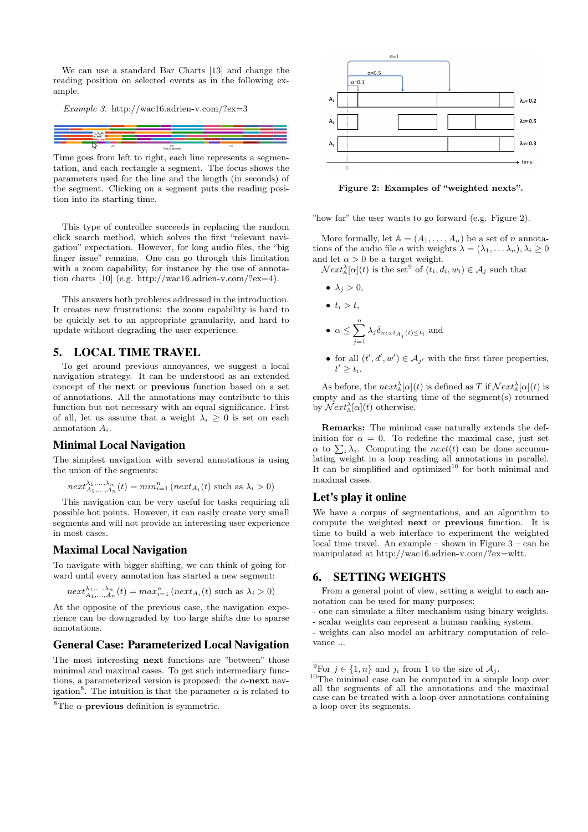We can use a standard Bar Charts [13] and change the reading position on selected events as in the following example.

Example 3. http://wac16.adrien-v.com/?ex=3



Time goes from left to right, each line represents a segmentation, and each rectangle a segment. The focus shows the parameters used for the line and the length (in seconds) of the segment. Clicking on a segment puts the reading position into its starting time.

This type of controller succeeds in replacing the random click search method, which solves the first "relevant navigation" expectation. However, for long audio files, the "big finger issue" remains. One can go through this limitation with a zoom capability, for instance by the use of annotation charts [10] (e.g. http://wac16.adrien-v.com/?ex=4).

This answers both problems addressed in the introduction. It creates new frustrations: the zoom capability is hard to be quickly set to an appropriate granularity, and hard to update without degrading the user experience.

## 5. LOCAL TIME TRAVEL

To get around previous annoyances, we suggest a local navigation strategy. It can be understood as an extended concept of the next or previous function based on a set of annotations. All the annotations may contribute to this function but not necessary with an equal significance. First of all, let us assume that a weight  $\lambda_i \geq 0$  is set on each annotation  $A_i$ .

#### Minimal Local Navigation

The simplest navigation with several annotations is using the union of the segments:

$$
next_{A_1, ..., A_n}^{\lambda_1, ..., \lambda_n}(t) = min_{i=1}^n (next_{A_i}(t) \text{ such as } \lambda_i > 0)
$$

This navigation can be very useful for tasks requiring all possible hot points. However, it can easily create very small segments and will not provide an interesting user experience in most cases.

#### Maximal Local Navigation

To navigate with bigger shifting, we can think of going forward until every annotation has started a new segment:

$$
next_{A_1, ..., A_n}^{\lambda_1, ..., \lambda_n}(t) = max_{i=1}^n (next_{A_i}(t) \text{ such as } \lambda_i > 0)
$$

At the opposite of the previous case, the navigation experience can be downgraded by too large shifts due to sparse annotations.

#### General Case: Parameterized Local Navigation

The most interesting next functions are "between" those minimal and maximal cases. To get such intermediary functions, a parameterized version is proposed: the  $\alpha$ -next navigation<sup>8</sup>. The intuition is that the parameter  $\alpha$  is related to



Figure 2: Examples of "weighted nexts".

"how far" the user wants to go forward (e.g. Figure 2).

More formally, let  $A = (A_1, \ldots, A_n)$  be a set of n annotations of the audio file a with weights  $\lambda = (\lambda_1, \dots \lambda_n), \lambda_i \geq 0$ and let  $\alpha > 0$  be a target weight.

 $\mathcal{N}ext_{\mathbb{A}}^{\lambda}[\alpha](t)$  is the set<sup>9</sup> of  $(t_i, d_i, w_i) \in \mathcal{A}_j$  such that

 $\bullet \lambda_j > 0,$ 

$$
\bullet \ \ t_i>t,
$$

$$
\bullet\;\;\alpha\leq\sum_{j=1}^{n}\lambda_{j}\delta_{next_{A_{j}}\left(t\right)\leq t_{i}}\;\text{and}
$$

• for all  $(t', d', w') \in \mathcal{A}_{j'}$  with the first three properties,  $t' \geq t_i$ .

As before, the  $next_{\mathbb{A}}^{\lambda}[\alpha](t)$  is defined as T if  ${\mathcal{N}}ext_{\mathbb{A}}^{\lambda}[\alpha](t)$  is empty and as the starting time of the segment(s) returned by  $\mathcal{N}ext_{\mathbb{A}}^{\lambda}[\alpha](t)$  otherwise.

Remarks: The minimal case naturally extends the definition for  $\alpha = 0$ . To redefine the maximal case, just set  $\alpha$  to  $\sum_i \lambda_i$ . Computing the *next*(*t*) can be done accumulating weight in a loop reading all annotations in parallel. It can be simplified and optimized<sup>10</sup> for both minimal and maximal cases.

## Let's play it online

We have a corpus of segmentations, and an algorithm to compute the weighted next or previous function. It is time to build a web interface to experiment the weighted local time travel. An example – shown in Figure 3 – can be manipulated at http://wac16.adrien-v.com/?ex=wltt.

#### 6. SETTING WEIGHTS

From a general point of view, setting a weight to each annotation can be used for many purposes:

- one can simulate a filter mechanism using binary weights.
- scalar weights can represent a human ranking system.
- weights can also model an arbitrary computation of relevance ...

<sup>&</sup>lt;sup>8</sup>The  $\alpha$ -**previous** definition is symmetric.

<sup>&</sup>lt;sup>9</sup>For  $j \in \{1, n\}$  and  $j_i$  from 1 to the size of  $\mathcal{A}_i$ .

<sup>&</sup>lt;sup>10</sup>The minimal case can be computed in a simple loop over all the segments of all the annotations and the maximal case can be treated with a loop over annotations containing a loop over its segments.